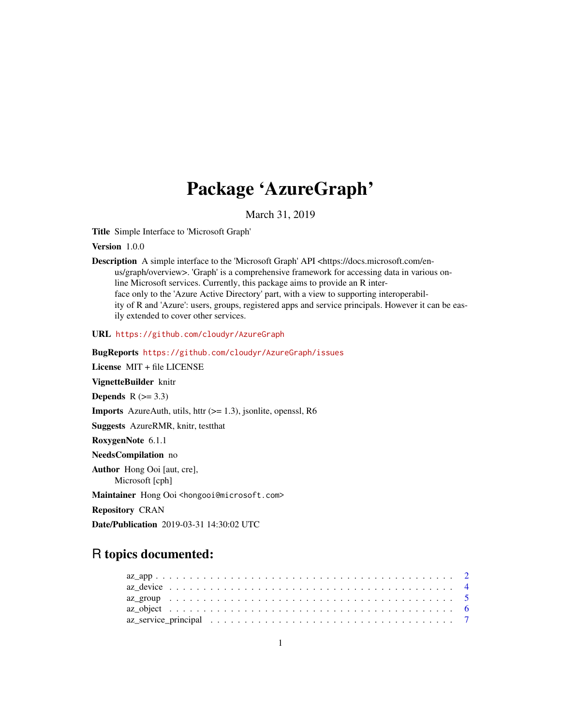# Package 'AzureGraph'

March 31, 2019

<span id="page-0-0"></span>Title Simple Interface to 'Microsoft Graph'

Version 1.0.0

Description A simple interface to the 'Microsoft Graph' API <https://docs.microsoft.com/enus/graph/overview>. 'Graph' is a comprehensive framework for accessing data in various online Microsoft services. Currently, this package aims to provide an R interface only to the 'Azure Active Directory' part, with a view to supporting interoperability of R and 'Azure': users, groups, registered apps and service principals. However it can be easily extended to cover other services.

URL <https://github.com/cloudyr/AzureGraph>

BugReports <https://github.com/cloudyr/AzureGraph/issues>

License MIT + file LICENSE

VignetteBuilder knitr

Depends  $R$  ( $>= 3.3$ )

**Imports** AzureAuth, utils, httr  $(>= 1.3)$ , jsonlite, openssl, R6

Suggests AzureRMR, knitr, testthat

RoxygenNote 6.1.1

NeedsCompilation no

Author Hong Ooi [aut, cre], Microsoft [cph]

Maintainer Hong Ooi <hongooi@microsoft.com>

Repository CRAN

Date/Publication 2019-03-31 14:30:02 UTC

# R topics documented: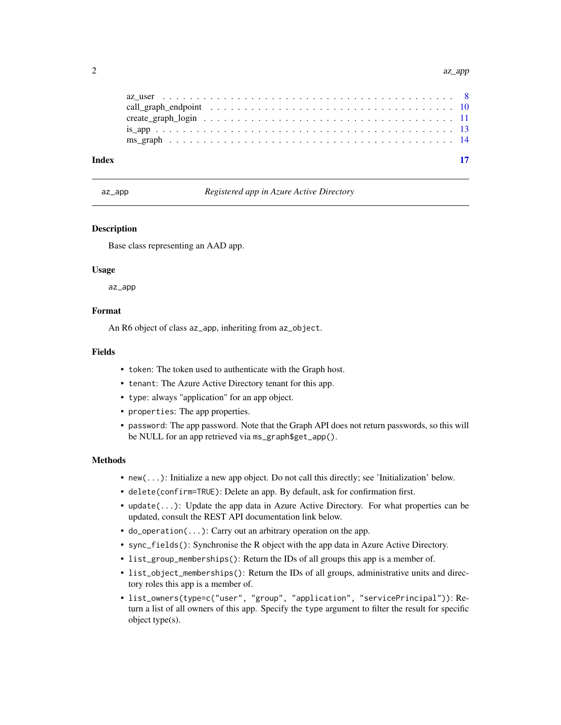<span id="page-1-0"></span>

| Index |  |
|-------|--|
|       |  |
|       |  |
|       |  |
|       |  |
|       |  |

<span id="page-1-1"></span>az\_app *Registered app in Azure Active Directory*

#### **Description**

Base class representing an AAD app.

#### Usage

az\_app

# Format

An R6 object of class az\_app, inheriting from az\_object.

# Fields

- token: The token used to authenticate with the Graph host.
- tenant: The Azure Active Directory tenant for this app.
- type: always "application" for an app object.
- properties: The app properties.
- password: The app password. Note that the Graph API does not return passwords, so this will be NULL for an app retrieved via ms\_graph\$get\_app().

#### Methods

- new(...): Initialize a new app object. Do not call this directly; see 'Initialization' below.
- delete(confirm=TRUE): Delete an app. By default, ask for confirmation first.
- update(...): Update the app data in Azure Active Directory. For what properties can be updated, consult the REST API documentation link below.
- do\_operation(...): Carry out an arbitrary operation on the app.
- sync\_fields(): Synchronise the R object with the app data in Azure Active Directory.
- list\_group\_memberships(): Return the IDs of all groups this app is a member of.
- list\_object\_memberships(): Return the IDs of all groups, administrative units and directory roles this app is a member of.
- list\_owners(type=c("user", "group", "application", "servicePrincipal")): Return a list of all owners of this app. Specify the type argument to filter the result for specific object type(s).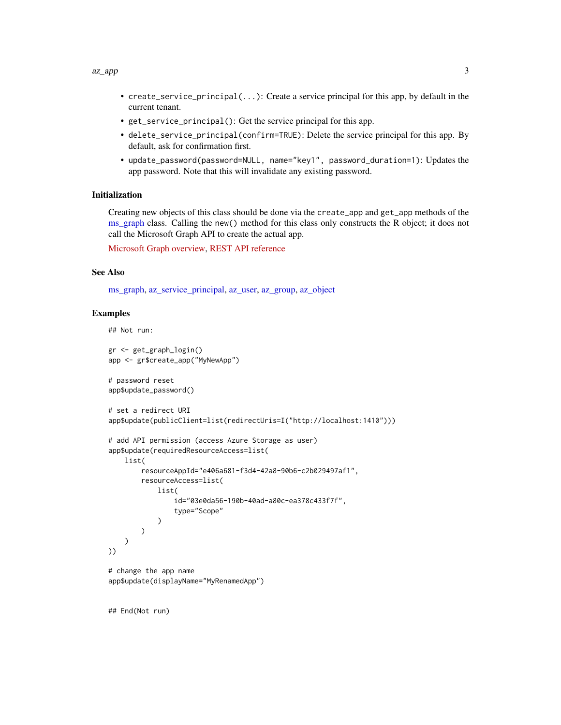#### <span id="page-2-0"></span> $az\_\$ {app} 3

- create\_service\_principal(...): Create a service principal for this app, by default in the current tenant.
- get\_service\_principal(): Get the service principal for this app.
- delete\_service\_principal(confirm=TRUE): Delete the service principal for this app. By default, ask for confirmation first.
- update\_password(password=NULL, name="key1", password\_duration=1): Updates the app password. Note that this will invalidate any existing password.

#### Initialization

Creating new objects of this class should be done via the create\_app and get\_app methods of the [ms\\_graph](#page-13-1) class. Calling the new() method for this class only constructs the R object; it does not call the Microsoft Graph API to create the actual app.

[Microsoft Graph overview,](https://docs.microsoft.com/en-us/graph/overview) [REST API reference](https://docs.microsoft.com/en-us/graph/api/overview?view=graph-rest-beta)

#### See Also

[ms\\_graph,](#page-13-1) [az\\_service\\_principal,](#page-6-1) [az\\_user,](#page-7-1) [az\\_group,](#page-4-1) [az\\_object](#page-5-1)

#### Examples

```
## Not run:
gr <- get_graph_login()
app <- gr$create_app("MyNewApp")
# password reset
app$update_password()
# set a redirect URI
app$update(publicClient=list(redirectUris=I("http://localhost:1410")))
# add API permission (access Azure Storage as user)
app$update(requiredResourceAccess=list(
   list(
        resourceAppId="e406a681-f3d4-42a8-90b6-c2b029497af1",
        resourceAccess=list(
            list(
                id="03e0da56-190b-40ad-a80c-ea378c433f7f",
                type="Scope"
            \lambda)
   )
))
# change the app name
app$update(displayName="MyRenamedApp")
```
## End(Not run)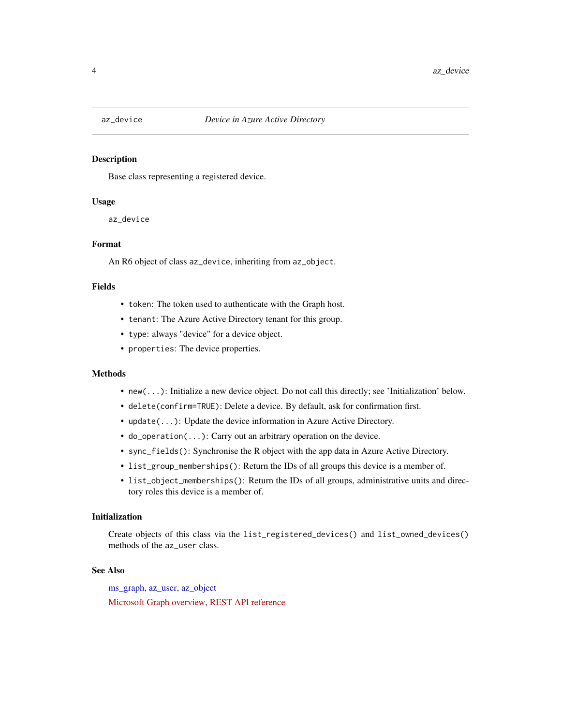<span id="page-3-1"></span><span id="page-3-0"></span>

#### Description

Base class representing a registered device.

# Usage

az\_device

#### Format

An R6 object of class az\_device, inheriting from az\_object.

#### Fields

- token: The token used to authenticate with the Graph host.
- tenant: The Azure Active Directory tenant for this group.
- type: always "device" for a device object.
- properties: The device properties.

#### Methods

- new(...): Initialize a new device object. Do not call this directly; see 'Initialization' below.
- delete(confirm=TRUE): Delete a device. By default, ask for confirmation first.
- update(...): Update the device information in Azure Active Directory.
- do\_operation(...): Carry out an arbitrary operation on the device.
- sync\_fields(): Synchronise the R object with the app data in Azure Active Directory.
- list\_group\_memberships(): Return the IDs of all groups this device is a member of.
- list\_object\_memberships(): Return the IDs of all groups, administrative units and directory roles this device is a member of.

#### Initialization

Create objects of this class via the list\_registered\_devices() and list\_owned\_devices() methods of the az\_user class.

#### See Also

[ms\\_graph,](#page-13-1) [az\\_user,](#page-7-1) [az\\_object](#page-5-1)

[Microsoft Graph overview,](https://docs.microsoft.com/en-us/graph/overview) [REST API reference](https://docs.microsoft.com/en-us/graph/api/overview?view=graph-rest-beta)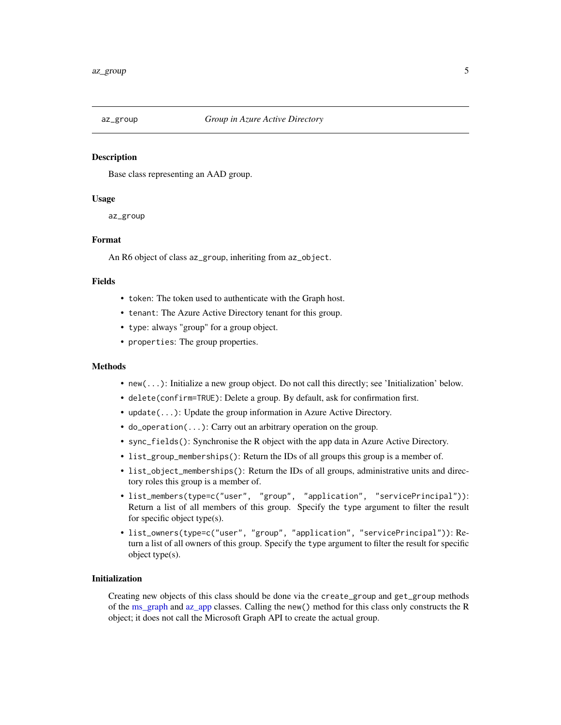<span id="page-4-1"></span><span id="page-4-0"></span>

#### **Description**

Base class representing an AAD group.

#### Usage

az\_group

# Format

An R6 object of class az\_group, inheriting from az\_object.

#### Fields

- token: The token used to authenticate with the Graph host.
- tenant: The Azure Active Directory tenant for this group.
- type: always "group" for a group object.
- properties: The group properties.

#### Methods

- new(...): Initialize a new group object. Do not call this directly; see 'Initialization' below.
- delete(confirm=TRUE): Delete a group. By default, ask for confirmation first.
- update(...): Update the group information in Azure Active Directory.
- do\_operation(...): Carry out an arbitrary operation on the group.
- sync\_fields(): Synchronise the R object with the app data in Azure Active Directory.
- list\_group\_memberships(): Return the IDs of all groups this group is a member of.
- list\_object\_memberships(): Return the IDs of all groups, administrative units and directory roles this group is a member of.
- list\_members(type=c("user", "group", "application", "servicePrincipal")): Return a list of all members of this group. Specify the type argument to filter the result for specific object type(s).
- list\_owners(type=c("user", "group", "application", "servicePrincipal")): Return a list of all owners of this group. Specify the type argument to filter the result for specific object type(s).

# Initialization

Creating new objects of this class should be done via the create\_group and get\_group methods of the [ms\\_graph](#page-13-1) and [az\\_app](#page-1-1) classes. Calling the new() method for this class only constructs the R object; it does not call the Microsoft Graph API to create the actual group.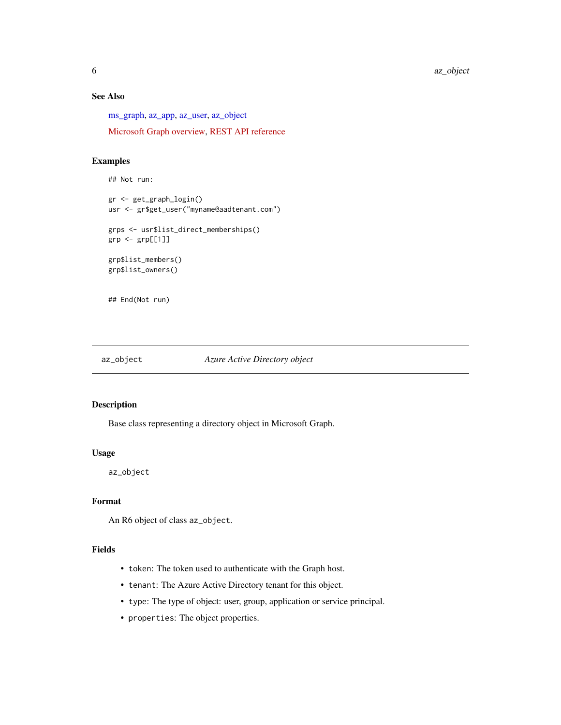# See Also

[ms\\_graph,](#page-13-1) [az\\_app,](#page-1-1) [az\\_user,](#page-7-1) [az\\_object](#page-5-1)

[Microsoft Graph overview,](https://docs.microsoft.com/en-us/graph/overview) [REST API reference](https://docs.microsoft.com/en-us/graph/api/overview?view=graph-rest-beta)

# Examples

```
## Not run:
gr <- get_graph_login()
usr <- gr$get_user("myname@aadtenant.com")
grps <- usr$list_direct_memberships()
grp <- grp[[1]]
grp$list_members()
grp$list_owners()
## End(Not run)
```
<span id="page-5-1"></span>

```
az_object Azure Active Directory object
```
# Description

Base class representing a directory object in Microsoft Graph.

# Usage

az\_object

# Format

An R6 object of class az\_object.

# Fields

- token: The token used to authenticate with the Graph host.
- tenant: The Azure Active Directory tenant for this object.
- type: The type of object: user, group, application or service principal.
- properties: The object properties.

<span id="page-5-0"></span>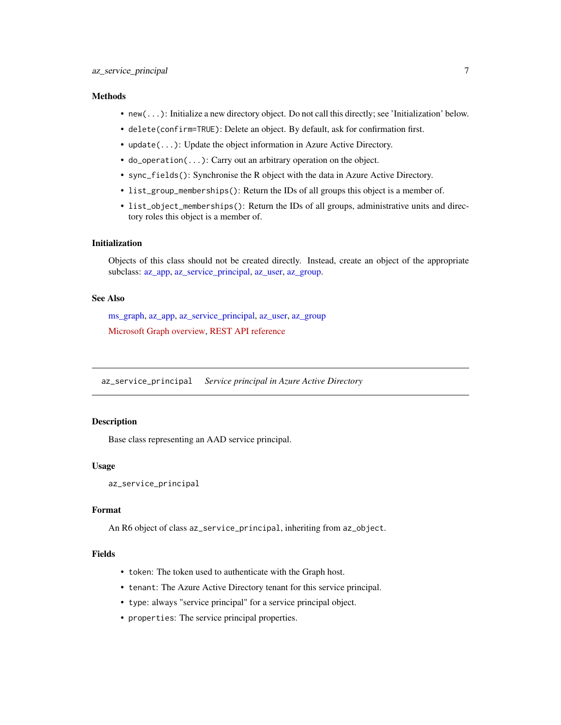# <span id="page-6-0"></span>**Methods**

- new(...): Initialize a new directory object. Do not call this directly; see 'Initialization' below.
- delete(confirm=TRUE): Delete an object. By default, ask for confirmation first.
- update(...): Update the object information in Azure Active Directory.
- do\_operation(...): Carry out an arbitrary operation on the object.
- sync\_fields(): Synchronise the R object with the data in Azure Active Directory.
- list\_group\_memberships(): Return the IDs of all groups this object is a member of.
- list\_object\_memberships(): Return the IDs of all groups, administrative units and directory roles this object is a member of.

# Initialization

Objects of this class should not be created directly. Instead, create an object of the appropriate subclass: [az\\_app,](#page-1-1) [az\\_service\\_principal,](#page-6-1) [az\\_user,](#page-7-1) [az\\_group.](#page-4-1)

# See Also

[ms\\_graph,](#page-13-1) [az\\_app,](#page-1-1) [az\\_service\\_principal,](#page-6-1) [az\\_user,](#page-7-1) [az\\_group](#page-4-1) [Microsoft Graph overview,](https://docs.microsoft.com/en-us/graph/overview) [REST API reference](https://docs.microsoft.com/en-us/graph/api/overview?view=graph-rest-beta)

<span id="page-6-1"></span>az\_service\_principal *Service principal in Azure Active Directory*

# **Description**

Base class representing an AAD service principal.

#### Usage

```
az_service_principal
```
#### Format

An R6 object of class az\_service\_principal, inheriting from az\_object.

# Fields

- token: The token used to authenticate with the Graph host.
- tenant: The Azure Active Directory tenant for this service principal.
- type: always "service principal" for a service principal object.
- properties: The service principal properties.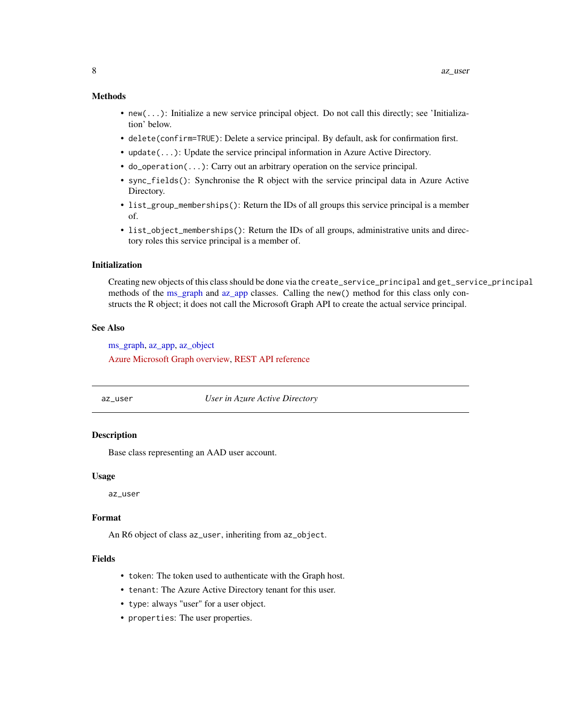#### <span id="page-7-0"></span>Methods

- new(...): Initialize a new service principal object. Do not call this directly; see 'Initialization' below.
- delete(confirm=TRUE): Delete a service principal. By default, ask for confirmation first.
- update(...): Update the service principal information in Azure Active Directory.
- do\_operation(...): Carry out an arbitrary operation on the service principal.
- sync\_fields(): Synchronise the R object with the service principal data in Azure Active Directory.
- list\_group\_memberships(): Return the IDs of all groups this service principal is a member of.
- list\_object\_memberships(): Return the IDs of all groups, administrative units and directory roles this service principal is a member of.

#### Initialization

Creating new objects of this class should be done via the create\_service\_principal and get\_service\_principal methods of the [ms\\_graph](#page-13-1) and [az\\_app](#page-1-1) classes. Calling the new() method for this class only constructs the R object; it does not call the Microsoft Graph API to create the actual service principal.

#### See Also

[ms\\_graph,](#page-13-1) [az\\_app,](#page-1-1) [az\\_object](#page-5-1) [Azure Microsoft Graph overview,](https://docs.microsoft.com/en-us/graph/overview) [REST API reference](https://docs.microsoft.com/en-us/graph/api/overview?view=graph-rest-beta)

#### <span id="page-7-1"></span>az\_user *User in Azure Active Directory*

#### **Description**

Base class representing an AAD user account.

#### Usage

az\_user

#### Format

An R6 object of class az\_user, inheriting from az\_object.

# Fields

- token: The token used to authenticate with the Graph host.
- tenant: The Azure Active Directory tenant for this user.
- type: always "user" for a user object.
- properties: The user properties.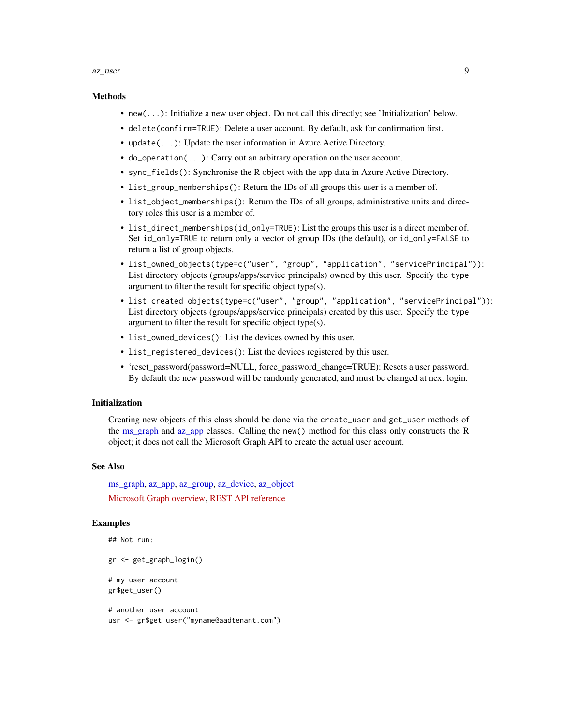#### <span id="page-8-0"></span>az\_user 9

#### Methods

- new(...): Initialize a new user object. Do not call this directly; see 'Initialization' below.
- delete(confirm=TRUE): Delete a user account. By default, ask for confirmation first.
- update(...): Update the user information in Azure Active Directory.
- do\_operation(...): Carry out an arbitrary operation on the user account.
- sync\_fields(): Synchronise the R object with the app data in Azure Active Directory.
- list\_group\_memberships(): Return the IDs of all groups this user is a member of.
- list\_object\_memberships(): Return the IDs of all groups, administrative units and directory roles this user is a member of.
- list\_direct\_memberships(id\_only=TRUE): List the groups this user is a direct member of. Set id\_only=TRUE to return only a vector of group IDs (the default), or id\_only=FALSE to return a list of group objects.
- list\_owned\_objects(type=c("user", "group", "application", "servicePrincipal")): List directory objects (groups/apps/service principals) owned by this user. Specify the type argument to filter the result for specific object type(s).
- list\_created\_objects(type=c("user", "group", "application", "servicePrincipal")): List directory objects (groups/apps/service principals) created by this user. Specify the type argument to filter the result for specific object type(s).
- list\_owned\_devices(): List the devices owned by this user.
- list\_registered\_devices(): List the devices registered by this user.
- 'reset\_password(password=NULL, force\_password\_change=TRUE): Resets a user password. By default the new password will be randomly generated, and must be changed at next login.

# Initialization

Creating new objects of this class should be done via the create\_user and get\_user methods of the [ms\\_graph](#page-13-1) and [az\\_app](#page-1-1) classes. Calling the new() method for this class only constructs the R object; it does not call the Microsoft Graph API to create the actual user account.

# See Also

[ms\\_graph,](#page-13-1) [az\\_app,](#page-1-1) [az\\_group,](#page-4-1) [az\\_device,](#page-3-1) [az\\_object](#page-5-1) [Microsoft Graph overview,](https://docs.microsoft.com/en-us/graph/overview) [REST API reference](https://docs.microsoft.com/en-us/graph/api/overview?view=graph-rest-beta)

#### Examples

```
## Not run:
gr <- get_graph_login()
# my user account
gr$get_user()
# another user account
```
usr <- gr\$get\_user("myname@aadtenant.com")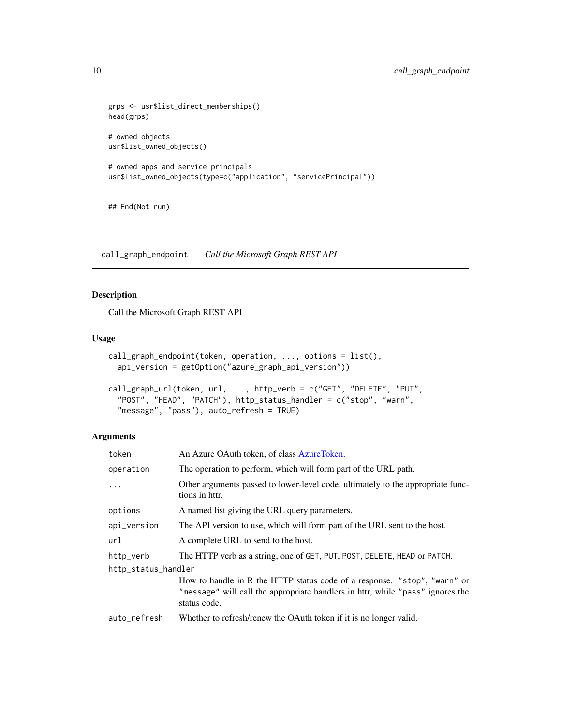```
grps <- usr$list_direct_memberships()
head(grps)
# owned objects
usr$list_owned_objects()
# owned apps and service principals
usr$list_owned_objects(type=c("application", "servicePrincipal"))
```
## End(Not run)

<span id="page-9-1"></span>call\_graph\_endpoint *Call the Microsoft Graph REST API*

# Description

Call the Microsoft Graph REST API

# Usage

```
call_graph_endpoint(token, operation, ..., options = list(),
  api_version = getOption("azure_graph_api_version"))
```

```
call_graph_url(token, url, ..., http_verb = c("GET", "DELETE", "PUT",
  "POST", "HEAD", "PATCH"), http_status_handler = c("stop", "warn",
  "message", "pass"), auto_refresh = TRUE)
```
# Arguments

| token               | An Azure OAuth token, of class AzureToken.                                                                                                                                 |
|---------------------|----------------------------------------------------------------------------------------------------------------------------------------------------------------------------|
| operation           | The operation to perform, which will form part of the URL path.                                                                                                            |
| $\ddots$            | Other arguments passed to lower-level code, ultimately to the appropriate func-<br>tions in httr.                                                                          |
| options             | A named list giving the URL query parameters.                                                                                                                              |
| api_version         | The API version to use, which will form part of the URL sent to the host.                                                                                                  |
| url                 | A complete URL to send to the host.                                                                                                                                        |
| http_verb           | The HTTP verb as a string, one of GET, PUT, POST, DELETE, HEAD or PATCH.                                                                                                   |
| http_status_handler |                                                                                                                                                                            |
|                     | How to handle in R the HTTP status code of a response. "stop", "warn" or<br>"message" will call the appropriate handlers in httr, while "pass" ignores the<br>status code. |
| auto_refresh        | Whether to refresh/renew the OAuth token if it is no longer valid.                                                                                                         |

<span id="page-9-0"></span>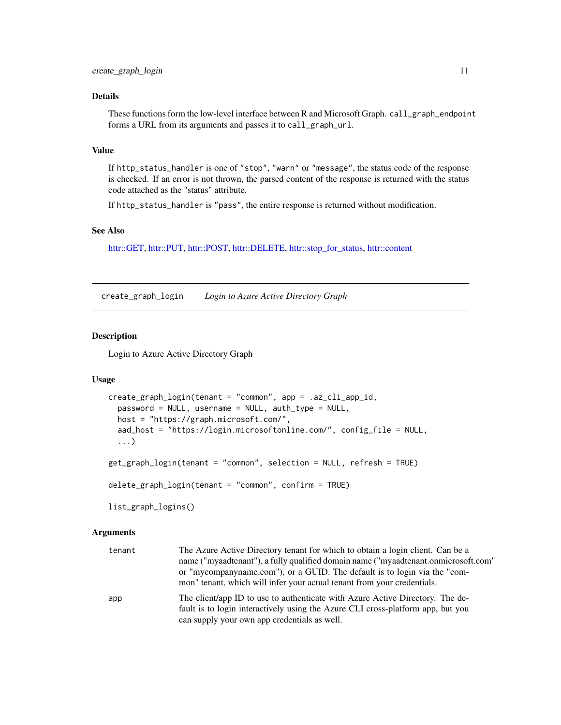# <span id="page-10-0"></span>Details

These functions form the low-level interface between R and Microsoft Graph. call\_graph\_endpoint forms a URL from its arguments and passes it to call\_graph\_url.

# Value

If http\_status\_handler is one of "stop", "warn" or "message", the status code of the response is checked. If an error is not thrown, the parsed content of the response is returned with the status code attached as the "status" attribute.

If http\_status\_handler is "pass", the entire response is returned without modification.

#### See Also

[httr::GET,](#page-0-0) [httr::PUT,](#page-0-0) [httr::POST,](#page-0-0) [httr::DELETE,](#page-0-0) [httr::stop\\_for\\_status,](#page-0-0) [httr::content](#page-0-0)

<span id="page-10-1"></span>create\_graph\_login *Login to Azure Active Directory Graph*

#### <span id="page-10-2"></span>Description

Login to Azure Active Directory Graph

#### Usage

```
create_graph_login(tenant = "common", app = .az_cli_app_id,
 password = NULL, username = NULL, auth_type = NULL,
  host = "https://graph.microsoft.com/",
  aad_host = "https://login.microsoftonline.com/", config_file = NULL,
  ...)
get_graph_login(tenant = "common", selection = NULL, refresh = TRUE)
delete_graph_login(tenant = "common", confirm = TRUE)
list_graph_logins()
```
#### Arguments

| tenant | The Azure Active Directory tenant for which to obtain a login client. Can be a                                                                                   |
|--------|------------------------------------------------------------------------------------------------------------------------------------------------------------------|
|        | name ("myaadtenant"), a fully qualified domain name ("myaadtenant.onmicrosoft.com"                                                                               |
|        | or "mycompanyname.com"), or a GUID. The default is to login via the "com-                                                                                        |
|        | mon" tenant, which will infer your actual tenant from your credentials.                                                                                          |
| app    | The client/app ID to use to authenticate with Azure Active Directory. The de-<br>fault is to login interactively using the Azure CLI cross-platform app, but you |
|        | can supply your own app credentials as well.                                                                                                                     |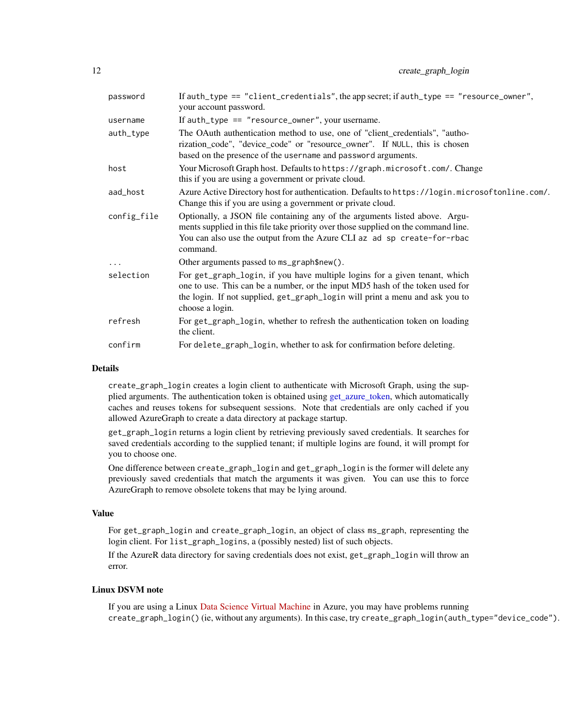<span id="page-11-0"></span>

| password    | If auth_type == "client_credentials", the app secret; if auth_type == "resource_owner",<br>your account password.                                                                                                                                              |
|-------------|----------------------------------------------------------------------------------------------------------------------------------------------------------------------------------------------------------------------------------------------------------------|
| username    | If $auth_type == "resource_owane", your username.$                                                                                                                                                                                                             |
| auth_type   | The OAuth authentication method to use, one of "client_credentials", "autho-<br>rization_code", "device_code" or "resource_owner". If NULL, this is chosen<br>based on the presence of the username and password arguments.                                    |
| host        | Your Microsoft Graph host. Defaults to https://graph.microsoft.com/. Change<br>this if you are using a government or private cloud.                                                                                                                            |
| aad_host    | Azure Active Directory host for authentication. Defaults to https://login.microsoftonline.com/.<br>Change this if you are using a government or private cloud.                                                                                                 |
| config_file | Optionally, a JSON file containing any of the arguments listed above. Argu-<br>ments supplied in this file take priority over those supplied on the command line.<br>You can also use the output from the Azure CLI az ad sp create-for-rbac<br>command.       |
| $\cdots$    | Other arguments passed to ms_graph\$new().                                                                                                                                                                                                                     |
| selection   | For get_graph_login, if you have multiple logins for a given tenant, which<br>one to use. This can be a number, or the input MD5 hash of the token used for<br>the login. If not supplied, get_graph_login will print a menu and ask you to<br>choose a login. |
| refresh     | For get_graph_login, whether to refresh the authentication token on loading<br>the client.                                                                                                                                                                     |
| confirm     | For delete_graph_login, whether to ask for confirmation before deleting.                                                                                                                                                                                       |

# Details

create\_graph\_login creates a login client to authenticate with Microsoft Graph, using the supplied arguments. The authentication token is obtained using [get\\_azure\\_token,](#page-0-0) which automatically caches and reuses tokens for subsequent sessions. Note that credentials are only cached if you allowed AzureGraph to create a data directory at package startup.

get\_graph\_login returns a login client by retrieving previously saved credentials. It searches for saved credentials according to the supplied tenant; if multiple logins are found, it will prompt for you to choose one.

One difference between create\_graph\_login and get\_graph\_login is the former will delete any previously saved credentials that match the arguments it was given. You can use this to force AzureGraph to remove obsolete tokens that may be lying around.

# Value

For get\_graph\_login and create\_graph\_login, an object of class ms\_graph, representing the login client. For list\_graph\_logins, a (possibly nested) list of such objects.

If the AzureR data directory for saving credentials does not exist, get\_graph\_login will throw an error.

# Linux DSVM note

If you are using a Linux [Data Science Virtual Machine](https://azure.microsoft.com/en-us/services/virtual-machines/data-science-virtual-machines/) in Azure, you may have problems running create\_graph\_login() (ie, without any arguments). In this case, try create\_graph\_login(auth\_type="device\_code").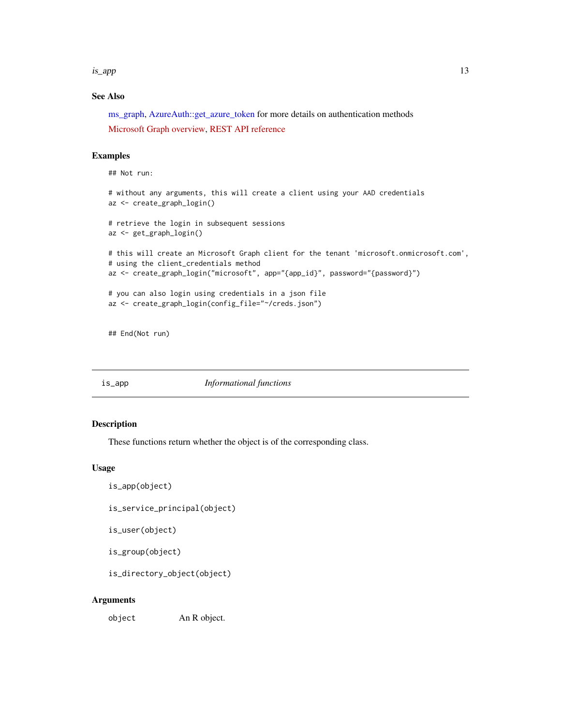<span id="page-12-0"></span>is\_app 13

# See Also

[ms\\_graph,](#page-13-1) [AzureAuth::get\\_azure\\_token](#page-0-0) for more details on authentication methods

[Microsoft Graph overview,](https://docs.microsoft.com/en-us/graph/overview) [REST API reference](https://docs.microsoft.com/en-us/graph/api/overview?view=graph-rest-beta)

# Examples

```
## Not run:
# without any arguments, this will create a client using your AAD credentials
az <- create_graph_login()
# retrieve the login in subsequent sessions
az <- get_graph_login()
# this will create an Microsoft Graph client for the tenant 'microsoft.onmicrosoft.com',
# using the client_credentials method
az <- create_graph_login("microsoft", app="{app_id}", password="{password}")
# you can also login using credentials in a json file
az <- create_graph_login(config_file="~/creds.json")
```
## End(Not run)

is\_app *Informational functions*

# Description

These functions return whether the object is of the corresponding class.

# Usage

is\_app(object)

is\_service\_principal(object)

is\_user(object)

is\_group(object)

is\_directory\_object(object)

# Arguments

object An R object.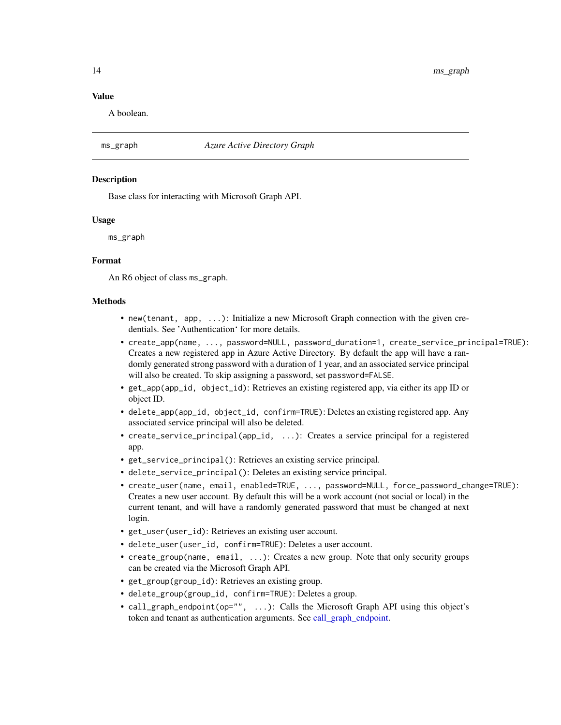# <span id="page-13-0"></span>Value

A boolean.

# <span id="page-13-1"></span>ms\_graph *Azure Active Directory Graph*

#### Description

Base class for interacting with Microsoft Graph API.

#### Usage

ms\_graph

#### Format

An R6 object of class ms\_graph.

#### Methods

- new(tenant, app, ...): Initialize a new Microsoft Graph connection with the given credentials. See 'Authentication' for more details.
- create\_app(name, ..., password=NULL, password\_duration=1, create\_service\_principal=TRUE): Creates a new registered app in Azure Active Directory. By default the app will have a randomly generated strong password with a duration of 1 year, and an associated service principal will also be created. To skip assigning a password, set password=FALSE.
- get\_app(app\_id, object\_id): Retrieves an existing registered app, via either its app ID or object ID.
- delete\_app(app\_id, object\_id, confirm=TRUE): Deletes an existing registered app. Any associated service principal will also be deleted.
- create\_service\_principal(app\_id, ...): Creates a service principal for a registered app.
- get\_service\_principal(): Retrieves an existing service principal.
- delete\_service\_principal(): Deletes an existing service principal.
- create\_user(name, email, enabled=TRUE, ..., password=NULL, force\_password\_change=TRUE): Creates a new user account. By default this will be a work account (not social or local) in the current tenant, and will have a randomly generated password that must be changed at next login.
- get\_user(user\_id): Retrieves an existing user account.
- delete\_user(user\_id, confirm=TRUE): Deletes a user account.
- create\_group(name, email, ...): Creates a new group. Note that only security groups can be created via the Microsoft Graph API.
- get\_group(group\_id): Retrieves an existing group.
- delete\_group(group\_id, confirm=TRUE): Deletes a group.
- call\_graph\_endpoint(op="", ...): Calls the Microsoft Graph API using this object's token and tenant as authentication arguments. See [call\\_graph\\_endpoint.](#page-9-1)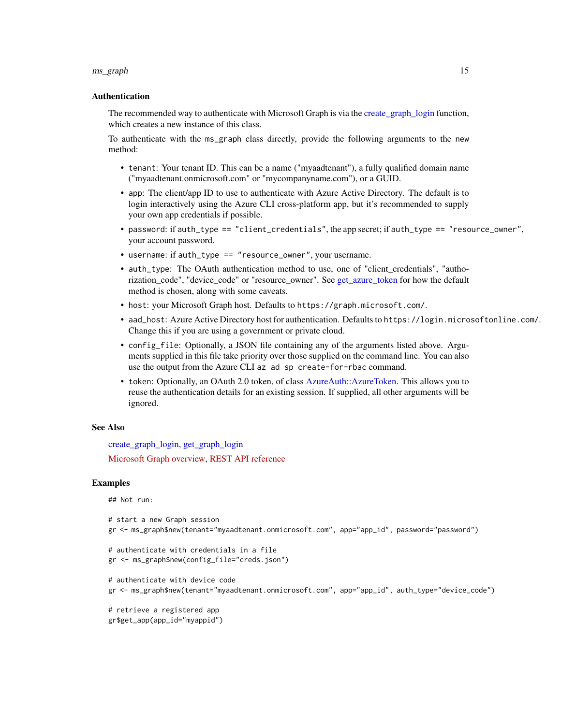#### <span id="page-14-0"></span>ms\_graph 15

#### Authentication

The recommended way to authenticate with Microsoft Graph is via the create graph login function, which creates a new instance of this class.

To authenticate with the ms\_graph class directly, provide the following arguments to the new method:

- tenant: Your tenant ID. This can be a name ("myaadtenant"), a fully qualified domain name ("myaadtenant.onmicrosoft.com" or "mycompanyname.com"), or a GUID.
- app: The client/app ID to use to authenticate with Azure Active Directory. The default is to login interactively using the Azure CLI cross-platform app, but it's recommended to supply your own app credentials if possible.
- password: if auth\_type == "client\_credentials", the app secret; if auth\_type == "resource\_owner", your account password.
- username: if auth\_type == "resource\_owner", your username.
- auth\_type: The OAuth authentication method to use, one of "client\_credentials", "authorization code", "device code" or "resource owner". See get azure token for how the default method is chosen, along with some caveats.
- host: your Microsoft Graph host. Defaults to https://graph.microsoft.com/.
- aad\_host: Azure Active Directory host for authentication. Defaults to https://login.microsoftonline.com/. Change this if you are using a government or private cloud.
- config<sub>file:</sub> Optionally, a JSON file containing any of the arguments listed above. Arguments supplied in this file take priority over those supplied on the command line. You can also use the output from the Azure CLI az ad sp create-for-rbac command.
- token: Optionally, an OAuth 2.0 token, of class [AzureAuth::AzureToken.](#page-0-0) This allows you to reuse the authentication details for an existing session. If supplied, all other arguments will be ignored.

#### See Also

[create\\_graph\\_login,](#page-10-1) [get\\_graph\\_login](#page-10-2) [Microsoft Graph overview,](https://docs.microsoft.com/en-us/graph/overview) [REST API reference](https://docs.microsoft.com/en-us/graph/api/overview?view=graph-rest-beta)

#### Examples

## Not run:

```
# start a new Graph session
gr <- ms_graph$new(tenant="myaadtenant.onmicrosoft.com", app="app_id", password="password")
```

```
# authenticate with credentials in a file
gr <- ms_graph$new(config_file="creds.json")
```

```
# authenticate with device code
gr <- ms_graph$new(tenant="myaadtenant.onmicrosoft.com", app="app_id", auth_type="device_code")
```
# retrieve a registered app gr\$get\_app(app\_id="myappid")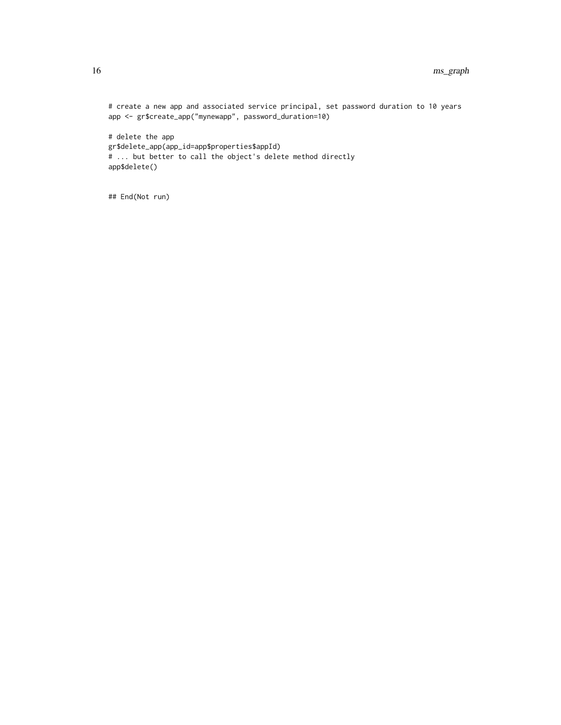```
# create a new app and associated service principal, set password duration to 10 years
app <- gr$create_app("mynewapp", password_duration=10)
# delete the app
gr$delete_app(app_id=app$properties$appId)
# ... but better to call the object's delete method directly
app$delete()
```
## End(Not run)